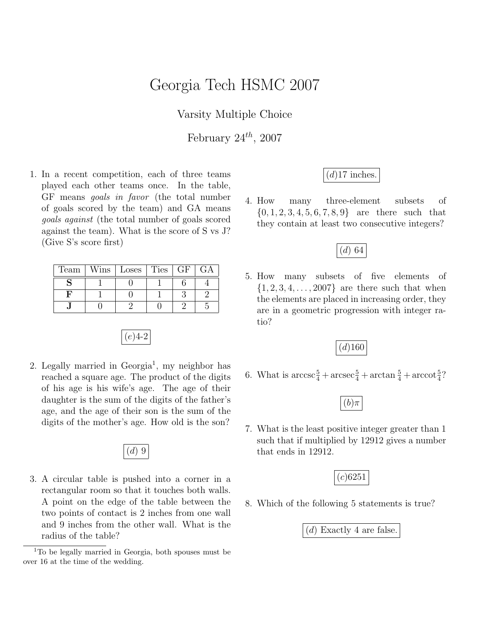## Georgia Tech HSMC 2007

Varsity Multiple Choice

February  $24^{th}$ , 2007

1. In a recent competition, each of three teams played each other teams once. In the table, GF means goals in favor (the total number of goals scored by the team) and GA means goals against (the total number of goals scored against the team). What is the score of S vs J? (Give S's score first)

| Team | $W\text{ins}$ | Loses   Ties | GF |  |
|------|---------------|--------------|----|--|
|      |               |              |    |  |
|      |               |              |    |  |
|      |               |              |    |  |



2. Legally married in Georgia<sup>1</sup>, my neighbor has reached a square age. The product of the digits of his age is his wife's age. The age of their daughter is the sum of the digits of the father's age, and the age of their son is the sum of the digits of the mother's age. How old is the son?



3. A circular table is pushed into a corner in a rectangular room so that it touches both walls. A point on the edge of the table between the two points of contact is 2 inches from one wall and 9 inches from the other wall. What is the radius of the table?

## $(d)$ 17 inches.

4. How many three-element subsets of  ${0, 1, 2, 3, 4, 5, 6, 7, 8, 9}$  are there such that they contain at least two consecutive integers?



5. How many subsets of five elements of  $\{1, 2, 3, 4, \ldots, 2007\}$  are there such that when the elements are placed in increasing order, they are in a geometric progression with integer ratio?



6. What is  $\arccos\frac{5}{4} + \arccos\frac{5}{4} + \arctan\frac{5}{4} + \arccot\frac{5}{4}$ ?

|--|

7. What is the least positive integer greater than 1 such that if multiplied by 12912 gives a number that ends in 12912.



8. Which of the following 5 statements is true?

(d) Exactly 4 are false.

 $1$ To be legally married in Georgia, both spouses must be over 16 at the time of the wedding.